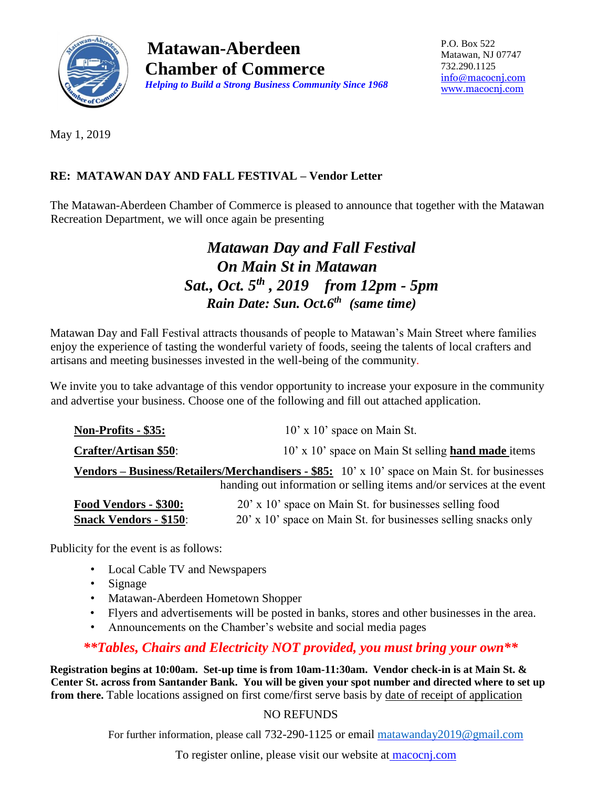

**Matawan-Aberdeen Chamber of Commerce**  *Helping to Build a Strong Business Community Since 1968* P.O. Box 522 Matawan, NJ 07747 732.290.1125 [info@macocnj.com](mailto:info@macocnj.com) [www.macocnj.com](http://www.macocnj.com/)

May 1, 2019

#### **RE: MATAWAN DAY AND FALL FESTIVAL – Vendor Letter**

The Matawan-Aberdeen Chamber of Commerce is pleased to announce that together with the Matawan Recreation Department, we will once again be presenting

## *Matawan Day and Fall Festival On Main St in Matawan Sat., Oct. 5th , 2019 from 12pm - 5pm Rain Date: Sun. Oct.6th (same time)*

Matawan Day and Fall Festival attracts thousands of people to Matawan's Main Street where families enjoy the experience of tasting the wonderful variety of foods, seeing the talents of local crafters and artisans and meeting businesses invested in the well-being of the community.

We invite you to take advantage of this vendor opportunity to increase your exposure in the community and advertise your business. Choose one of the following and fill out attached application.

| <b>Non-Profits - \$35:</b>                                                                                                                                                        | $10'$ x $10'$ space on Main St.                                |  |  |
|-----------------------------------------------------------------------------------------------------------------------------------------------------------------------------------|----------------------------------------------------------------|--|--|
| <b>Crafter/Artisan \$50:</b>                                                                                                                                                      | 10' x 10' space on Main St selling hand made items             |  |  |
| <b>Vendors – Business/Retailers/Merchandisers - \$85:</b> $10'$ x $10'$ space on Main St. for businesses<br>handing out information or selling items and/or services at the event |                                                                |  |  |
| Food Vendors - \$300:                                                                                                                                                             | 20' x 10' space on Main St. for businesses selling food        |  |  |
| <b>Snack Vendors - \$150:</b>                                                                                                                                                     | 20' x 10' space on Main St. for businesses selling snacks only |  |  |

Publicity for the event is as follows:

- Local Cable TV and Newspapers
- Signage
- Matawan-Aberdeen Hometown Shopper
- Flyers and advertisements will be posted in banks, stores and other businesses in the area.
- Announcements on the Chamber's website and social media pages

### *\*\*Tables, Chairs and Electricity NOT provided, you must bring your own\*\**

**Registration begins at 10:00am. Set-up time is from 10am-11:30am. Vendor check-in is at Main St. & Center St. across from Santander Bank. You will be given your spot number and directed where to set up from there.** Table locations assigned on first come/first serve basis by date of receipt of application

#### NO REFUNDS

For further information, please call 732-290-1125 or email [matawanday2019@gmail.com](mailto:matawanday2019@gmail.com)

To register online, please visit our website at macocnj.com